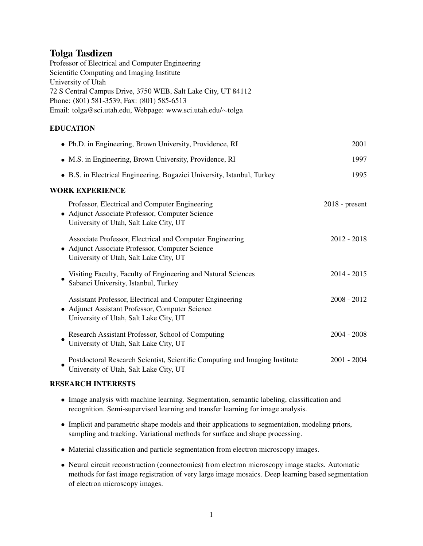# Tolga Tasdizen

| Professor of Electrical and Computer Engineering                            |                  |
|-----------------------------------------------------------------------------|------------------|
| Scientific Computing and Imaging Institute                                  |                  |
| University of Utah                                                          |                  |
| 72 S Central Campus Drive, 3750 WEB, Salt Lake City, UT 84112               |                  |
| Phone: (801) 581-3539, Fax: (801) 585-6513                                  |                  |
| Email: tolga@sci.utah.edu, Webpage: www.sci.utah.edu/~tolga                 |                  |
| <b>EDUCATION</b>                                                            |                  |
| • Ph.D. in Engineering, Brown University, Providence, RI                    | 2001             |
| • M.S. in Engineering, Brown University, Providence, RI                     | 1997             |
| • B.S. in Electrical Engineering, Bogazici University, Istanbul, Turkey     | 1995             |
| <b>WORK EXPERIENCE</b>                                                      |                  |
| Professor, Electrical and Computer Engineering                              | $2018$ - present |
| • Adjunct Associate Professor, Computer Science                             |                  |
| University of Utah, Salt Lake City, UT                                      |                  |
| Associate Professor, Electrical and Computer Engineering                    | $2012 - 2018$    |
| • Adjunct Associate Professor, Computer Science                             |                  |
| University of Utah, Salt Lake City, UT                                      |                  |
| Visiting Faculty, Faculty of Engineering and Natural Sciences               | $2014 - 2015$    |
| Sabanci University, Istanbul, Turkey                                        |                  |
| Assistant Professor, Electrical and Computer Engineering                    | $2008 - 2012$    |
| • Adjunct Assistant Professor, Computer Science                             |                  |
| University of Utah, Salt Lake City, UT                                      |                  |
| Research Assistant Professor, School of Computing                           | $2004 - 2008$    |
| University of Utah, Salt Lake City, UT                                      |                  |
| Postdoctoral Research Scientist, Scientific Computing and Imaging Institute | $2001 - 2004$    |
| University of Utah, Salt Lake City, UT                                      |                  |

# RESEARCH INTERESTS

- Image analysis with machine learning. Segmentation, semantic labeling, classification and recognition. Semi-supervised learning and transfer learning for image analysis.
- Implicit and parametric shape models and their applications to segmentation, modeling priors, sampling and tracking. Variational methods for surface and shape processing.
- Material classification and particle segmentation from electron microscopy images.
- Neural circuit reconstruction (connectomics) from electron microscopy image stacks. Automatic methods for fast image registration of very large image mosaics. Deep learning based segmentation of electron microscopy images.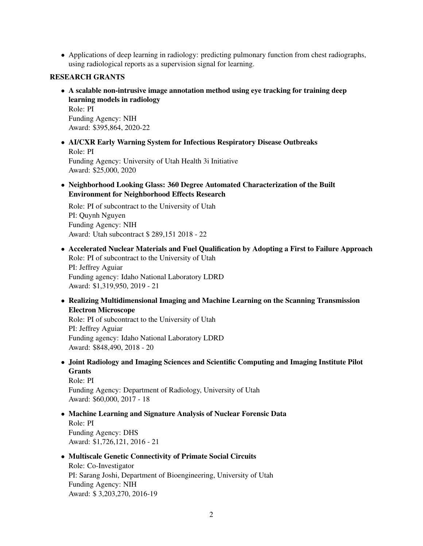• Applications of deep learning in radiology: predicting pulmonary function from chest radiographs, using radiological reports as a supervision signal for learning.

#### RESEARCH GRANTS

• A scalable non-intrusive image annotation method using eye tracking for training deep learning models in radiology

Role: PI Funding Agency: NIH Award: \$395,864, 2020-22

• AI/CXR Early Warning System for Infectious Respiratory Disease Outbreaks Role: PI

Funding Agency: University of Utah Health 3i Initiative Award: \$25,000, 2020

• Neighborhood Looking Glass: 360 Degree Automated Characterization of the Built Environment for Neighborhood Effects Research

Role: PI of subcontract to the University of Utah PI: Quynh Nguyen Funding Agency: NIH Award: Utah subcontract \$ 289,151 2018 - 22

- Accelerated Nuclear Materials and Fuel Qualification by Adopting a First to Failure Approach Role: PI of subcontract to the University of Utah PI: Jeffrey Aguiar Funding agency: Idaho National Laboratory LDRD Award: \$1,319,950, 2019 - 21
- Realizing Multidimensional Imaging and Machine Learning on the Scanning Transmission Electron Microscope

Role: PI of subcontract to the University of Utah PI: Jeffrey Aguiar Funding agency: Idaho National Laboratory LDRD Award: \$848,490, 2018 - 20

• Joint Radiology and Imaging Sciences and Scientific Computing and Imaging Institute Pilot Grants

Role: PI Funding Agency: Department of Radiology, University of Utah Award: \$60,000, 2017 - 18

• Machine Learning and Signature Analysis of Nuclear Forensic Data

Role: PI Funding Agency: DHS Award: \$1,726,121, 2016 - 21

### • Multiscale Genetic Connectivity of Primate Social Circuits

Role: Co-Investigator PI: Sarang Joshi, Department of Bioengineering, University of Utah Funding Agency: NIH Award: \$ 3,203,270, 2016-19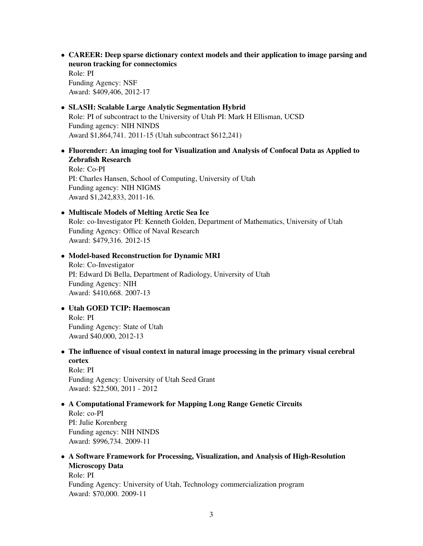• CAREER: Deep sparse dictionary context models and their application to image parsing and neuron tracking for connectomics Role: PI

Funding Agency: NSF Award: \$409,406, 2012-17

# • SLASH: Scalable Large Analytic Segmentation Hybrid Role: PI of subcontract to the University of Utah PI: Mark H Ellisman, UCSD Funding agency: NIH NINDS Award \$1,864,741. 2011-15 (Utah subcontract \$612,241)

• Fluorender: An imaging tool for Visualization and Analysis of Confocal Data as Applied to Zebrafish Research

Role: Co-PI PI: Charles Hansen, School of Computing, University of Utah Funding agency: NIH NIGMS Award \$1,242,833, 2011-16.

# • Multiscale Models of Melting Arctic Sea Ice

Role: co-Investigator PI: Kenneth Golden, Department of Mathematics, University of Utah Funding Agency: Office of Naval Research Award: \$479,316. 2012-15

### • Model-based Reconstruction for Dynamic MRI

Role: Co-Investigator PI: Edward Di Bella, Department of Radiology, University of Utah Funding Agency: NIH Award: \$410,668. 2007-13

# • Utah GOED TCIP: Haemoscan

Role: PI Funding Agency: State of Utah Award \$40,000, 2012-13

• The influence of visual context in natural image processing in the primary visual cerebral cortex

Role: PI Funding Agency: University of Utah Seed Grant Award: \$22,500, 2011 - 2012

# • A Computational Framework for Mapping Long Range Genetic Circuits

Role: co-PI PI: Julie Korenberg Funding agency: NIH NINDS Award: \$996,734. 2009-11

### • A Software Framework for Processing, Visualization, and Analysis of High-Resolution Microscopy Data Role: PI

Funding Agency: University of Utah, Technology commercialization program Award: \$70,000. 2009-11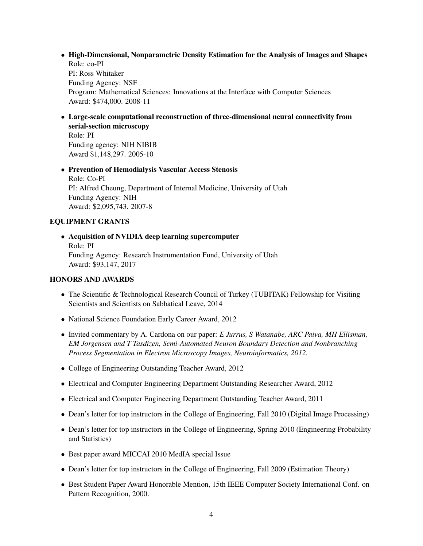- High-Dimensional, Nonparametric Density Estimation for the Analysis of Images and Shapes Role: co-PI PI: Ross Whitaker Funding Agency: NSF Program: Mathematical Sciences: Innovations at the Interface with Computer Sciences Award: \$474,000. 2008-11
- Large-scale computational reconstruction of three-dimensional neural connectivity from serial-section microscopy Role: PI

Funding agency: NIH NIBIB Award \$1,148,297. 2005-10

• Prevention of Hemodialysis Vascular Access Stenosis Role: Co-PI PI: Alfred Cheung, Department of Internal Medicine, University of Utah Funding Agency: NIH Award: \$2,095,743. 2007-8

### EQUIPMENT GRANTS

• Acquisition of NVIDIA deep learning supercomputer Role: PI Funding Agency: Research Instrumentation Fund, University of Utah Award: \$93,147, 2017

#### HONORS AND AWARDS

- The Scientific & Technological Research Council of Turkey (TUBITAK) Fellowship for Visiting Scientists and Scientists on Sabbatical Leave, 2014
- National Science Foundation Early Career Award, 2012
- Invited commentary by A. Cardona on our paper: *E Jurrus, S Watanabe, ARC Paiva, MH Ellisman, EM Jorgensen and T Tasdizen, Semi-Automated Neuron Boundary Detection and Nonbranching Process Segmentation in Electron Microscopy Images, Neuroinformatics, 2012.*
- College of Engineering Outstanding Teacher Award, 2012
- Electrical and Computer Engineering Department Outstanding Researcher Award, 2012
- Electrical and Computer Engineering Department Outstanding Teacher Award, 2011
- Dean's letter for top instructors in the College of Engineering, Fall 2010 (Digital Image Processing)
- Dean's letter for top instructors in the College of Engineering, Spring 2010 (Engineering Probability and Statistics)
- Best paper award MICCAI 2010 MedIA special Issue
- Dean's letter for top instructors in the College of Engineering, Fall 2009 (Estimation Theory)
- Best Student Paper Award Honorable Mention, 15th IEEE Computer Society International Conf. on Pattern Recognition, 2000.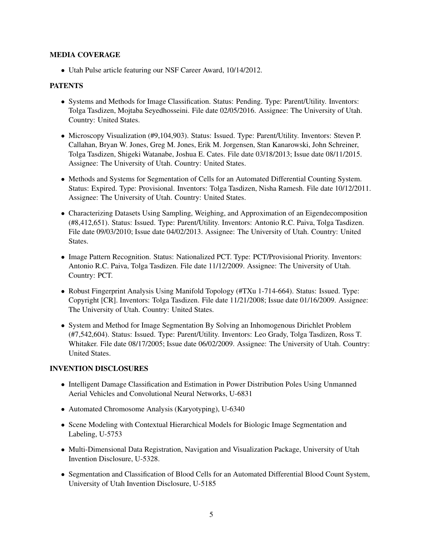# MEDIA COVERAGE

• Utah Pulse article featuring our NSF Career Award, 10/14/2012.

# PATENTS

- Systems and Methods for Image Classification. Status: Pending. Type: Parent/Utility. Inventors: Tolga Tasdizen, Mojtaba Seyedhosseini. File date 02/05/2016. Assignee: The University of Utah. Country: United States.
- Microscopy Visualization (#9,104,903). Status: Issued. Type: Parent/Utility. Inventors: Steven P. Callahan, Bryan W. Jones, Greg M. Jones, Erik M. Jorgensen, Stan Kanarowski, John Schreiner, Tolga Tasdizen, Shigeki Watanabe, Joshua E. Cates. File date 03/18/2013; Issue date 08/11/2015. Assignee: The University of Utah. Country: United States.
- Methods and Systems for Segmentation of Cells for an Automated Differential Counting System. Status: Expired. Type: Provisional. Inventors: Tolga Tasdizen, Nisha Ramesh. File date 10/12/2011. Assignee: The University of Utah. Country: United States.
- Characterizing Datasets Using Sampling, Weighing, and Approximation of an Eigendecomposition (#8,412,651). Status: Issued. Type: Parent/Utility. Inventors: Antonio R.C. Paiva, Tolga Tasdizen. File date 09/03/2010; Issue date 04/02/2013. Assignee: The University of Utah. Country: United States.
- Image Pattern Recognition. Status: Nationalized PCT. Type: PCT/Provisional Priority. Inventors: Antonio R.C. Paiva, Tolga Tasdizen. File date 11/12/2009. Assignee: The University of Utah. Country: PCT.
- Robust Fingerprint Analysis Using Manifold Topology (#TXu 1-714-664). Status: Issued. Type: Copyright [CR]. Inventors: Tolga Tasdizen. File date 11/21/2008; Issue date 01/16/2009. Assignee: The University of Utah. Country: United States.
- System and Method for Image Segmentation By Solving an Inhomogenous Dirichlet Problem (#7,542,604). Status: Issued. Type: Parent/Utility. Inventors: Leo Grady, Tolga Tasdizen, Ross T. Whitaker. File date 08/17/2005; Issue date 06/02/2009. Assignee: The University of Utah. Country: United States.

### INVENTION DISCLOSURES

- Intelligent Damage Classification and Estimation in Power Distribution Poles Using Unmanned Aerial Vehicles and Convolutional Neural Networks, U-6831
- Automated Chromosome Analysis (Karyotyping), U-6340
- Scene Modeling with Contextual Hierarchical Models for Biologic Image Segmentation and Labeling, U-5753
- Multi-Dimensional Data Registration, Navigation and Visualization Package, University of Utah Invention Disclosure, U-5328.
- Segmentation and Classification of Blood Cells for an Automated Differential Blood Count System, University of Utah Invention Disclosure, U-5185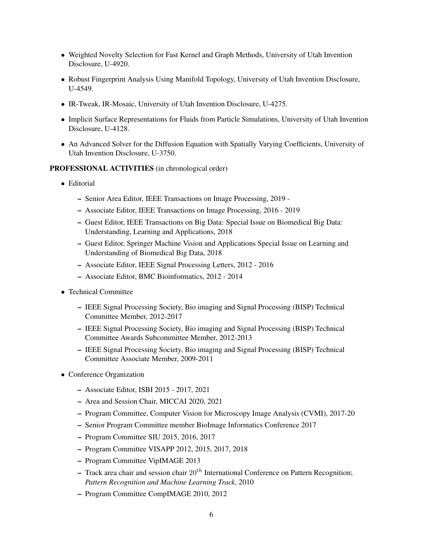- Weighted Novelty Selection for Fast Kernel and Graph Methods, University of Utah Invention Disclosure, U-4920.
- Robust Fingerprint Analysis Using Manifold Topology, University of Utah Invention Disclosure, U-4549.
- IR-Tweak, IR-Mosaic, University of Utah Invention Disclosure, U-4275.
- Implicit Surface Representations for Fluids from Particle Simulations, University of Utah Invention Disclosure, U-4128.
- An Advanced Solver for the Diffusion Equation with Spatially Varying Coefficients, University of Utah Invention Disclosure, U-3750.

#### PROFESSIONAL ACTIVITIES (in chronological order)

- Editorial
	- Senior Area Editor, IEEE Transactions on Image Processing, 2019 -
	- Associate Editor, IEEE Transactions on Image Processing, 2016 2019
	- Guest Editor, IEEE Transactions on Big Data: Special Issue on Biomedical Big Data: Understanding, Learning and Applications, 2018
	- Guest Editor, Springer Machine Vision and Applications Special Issue on Learning and Understanding of Biomedical Big Data, 2018
	- Associate Editor, IEEE Signal Processing Letters, 2012 2016
	- Associate Editor, BMC Bioinformatics, 2012 2014
- Technical Committee
	- IEEE Signal Processing Society, Bio imaging and Signal Processing (BISP) Technical Committee Member, 2012-2017
	- IEEE Signal Processing Society, Bio imaging and Signal Processing (BISP) Technical Committee Awards Subcommittee Member, 2012-2013
	- IEEE Signal Processing Society, Bio imaging and Signal Processing (BISP) Technical Committee Associate Member, 2009-2011
- Conference Organization
	- Associate Editor, ISBI 2015 2017, 2021
	- Area and Session Chair, MICCAI 2020, 2021
	- Program Committee, Computer Vision for Microscopy Image Analysis (CVMI), 2017-20
	- Senior Program Committee member BioImage Informatics Conference 2017
	- Program Committee SIU 2015, 2016, 2017
	- Program Committee VISAPP 2012, 2015, 2017, 2018
	- Program Committee VipIMAGE 2013
	- Track area chair and session chair  $20^{th}$  International Conference on Pattern Recognition; *Pattern Recognition and Machine Learning Track*, 2010
	- Program Committee CompIMAGE 2010, 2012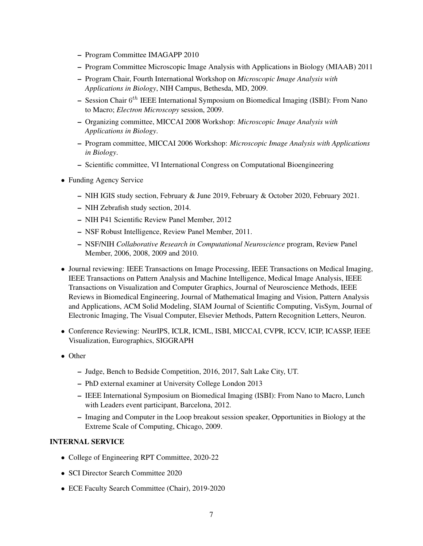- Program Committee IMAGAPP 2010
- Program Committee Microscopic Image Analysis with Applications in Biology (MIAAB) 2011
- Program Chair, Fourth International Workshop on *Microscopic Image Analysis with Applications in Biology*, NIH Campus, Bethesda, MD, 2009.
- Session Chair  $6^{th}$  IEEE International Symposium on Biomedical Imaging (ISBI): From Nano to Macro; *Electron Microscopy* session, 2009.
- Organizing committee, MICCAI 2008 Workshop: *Microscopic Image Analysis with Applications in Biology*.
- Program committee, MICCAI 2006 Workshop: *Microscopic Image Analysis with Applications in Biology*.
- Scientific committee, VI International Congress on Computational Bioengineering
- Funding Agency Service
	- NIH IGIS study section, February & June 2019, February & October 2020, February 2021.
	- NIH Zebrafish study section, 2014.
	- NIH P41 Scientific Review Panel Member, 2012
	- NSF Robust Intelligence, Review Panel Member, 2011.
	- NSF/NIH *Collaborative Research in Computational Neuroscience* program, Review Panel Member, 2006, 2008, 2009 and 2010.
- Journal reviewing: IEEE Transactions on Image Processing, IEEE Transactions on Medical Imaging, IEEE Transactions on Pattern Analysis and Machine Intelligence, Medical Image Analysis, IEEE Transactions on Visualization and Computer Graphics, Journal of Neuroscience Methods, IEEE Reviews in Biomedical Engineering, Journal of Mathematical Imaging and Vision, Pattern Analysis and Applications, ACM Solid Modeling, SIAM Journal of Scientific Computing, VisSym, Journal of Electronic Imaging, The Visual Computer, Elsevier Methods, Pattern Recognition Letters, Neuron.
- Conference Reviewing: NeurIPS, ICLR, ICML, ISBI, MICCAI, CVPR, ICCV, ICIP, ICASSP, IEEE Visualization, Eurographics, SIGGRAPH
- Other
	- Judge, Bench to Bedside Competition, 2016, 2017, Salt Lake City, UT.
	- PhD external examiner at University College London 2013
	- IEEE International Symposium on Biomedical Imaging (ISBI): From Nano to Macro, Lunch with Leaders event participant, Barcelona, 2012.
	- Imaging and Computer in the Loop breakout session speaker, Opportunities in Biology at the Extreme Scale of Computing, Chicago, 2009.

#### INTERNAL SERVICE

- College of Engineering RPT Committee, 2020-22
- SCI Director Search Committee 2020
- ECE Faculty Search Committee (Chair), 2019-2020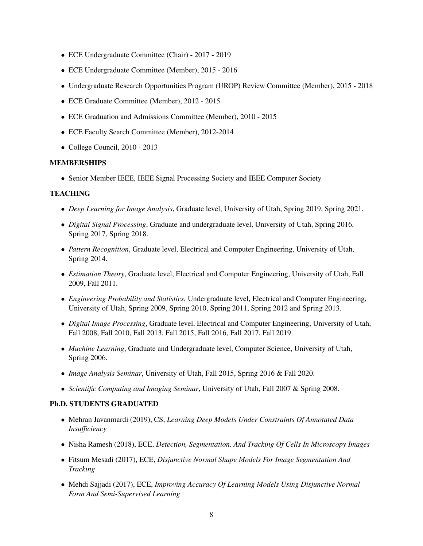- ECE Undergraduate Committee (Chair) 2017 2019
- ECE Undergraduate Committee (Member), 2015 2016
- Undergraduate Research Opportunities Program (UROP) Review Committee (Member), 2015 2018
- ECE Graduate Committee (Member), 2012 2015
- ECE Graduation and Admissions Committee (Member), 2010 2015
- ECE Faculty Search Committee (Member), 2012-2014
- College Council, 2010 2013

### MEMBERSHIPS

• Senior Member IEEE, IEEE Signal Processing Society and IEEE Computer Society

# **TEACHING**

- *Deep Learning for Image Analysis*, Graduate level, University of Utah, Spring 2019, Spring 2021.
- *Digital Signal Processing*, Graduate and undergraduate level, University of Utah, Spring 2016, Spring 2017, Spring 2018.
- *Pattern Recognition*, Graduate level, Electrical and Computer Engineering, University of Utah, Spring 2014.
- *Estimation Theory*, Graduate level, Electrical and Computer Engineering, University of Utah, Fall 2009, Fall 2011.
- *Engineering Probability and Statistics*, Undergraduate level, Electrical and Computer Engineering, University of Utah, Spring 2009, Spring 2010, Spring 2011, Spring 2012 and Spring 2013.
- *Digital Image Processing*, Graduate level, Electrical and Computer Engineering, University of Utah, Fall 2008, Fall 2010, Fall 2013, Fall 2015, Fall 2016, Fall 2017, Fall 2019.
- *Machine Learning*, Graduate and Undergraduate level, Computer Science, University of Utah, Spring 2006.
- *Image Analysis Seminar*, University of Utah, Fall 2015, Spring 2016 & Fall 2020.
- *Scientific Computing and Imaging Seminar*, University of Utah, Fall 2007 & Spring 2008.

# Ph.D. STUDENTS GRADUATED

- Mehran Javanmardi (2019), CS, *Learning Deep Models Under Constraints Of Annotated Data Insufficiency*
- Nisha Ramesh (2018), ECE, *Detection, Segmentation, And Tracking Of Cells In Microscopy Images*
- Fitsum Mesadi (2017), ECE, *Disjunctive Normal Shape Models For Image Segmentation And Tracking*
- Mehdi Sajjadi (2017), ECE, *Improving Accuracy Of Learning Models Using Disjunctive Normal Form And Semi-Supervised Learning*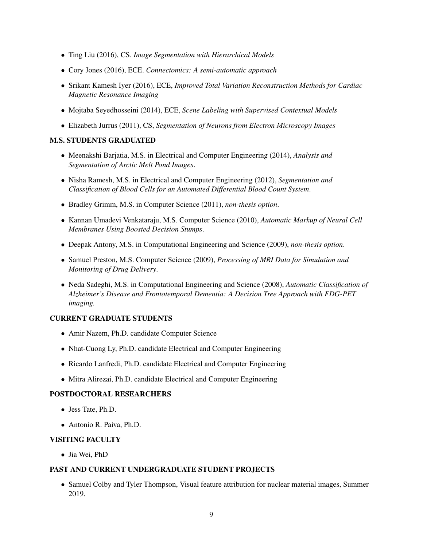- Ting Liu (2016), CS. *Image Segmentation with Hierarchical Models*
- Cory Jones (2016), ECE. *Connectomics: A semi-automatic approach*
- Srikant Kamesh Iyer (2016), ECE, *Improved Total Variation Reconstruction Methods for Cardiac Magnetic Resonance Imaging*
- Mojtaba Seyedhosseini (2014), ECE, *Scene Labeling with Supervised Contextual Models*
- Elizabeth Jurrus (2011), CS, *Segmentation of Neurons from Electron Microscopy Images*

### M.S. STUDENTS GRADUATED

- Meenakshi Barjatia, M.S. in Electrical and Computer Engineering (2014), *Analysis and Segmentation of Arctic Melt Pond Images*.
- Nisha Ramesh, M.S. in Electrical and Computer Engineering (2012), *Segmentation and Classification of Blood Cells for an Automated Differential Blood Count System*.
- Bradley Grimm, M.S. in Computer Science (2011), *non-thesis option*.
- Kannan Umadevi Venkataraju, M.S. Computer Science (2010), *Automatic Markup of Neural Cell Membranes Using Boosted Decision Stumps*.
- Deepak Antony, M.S. in Computational Engineering and Science (2009), *non-thesis option*.
- Samuel Preston, M.S. Computer Science (2009), *Processing of MRI Data for Simulation and Monitoring of Drug Delivery*.
- Neda Sadeghi, M.S. in Computational Engineering and Science (2008), *Automatic Classification of Alzheimer's Disease and Frontotemporal Dementia: A Decision Tree Approach with FDG-PET imaging.*

### CURRENT GRADUATE STUDENTS

- Amir Nazem, Ph.D. candidate Computer Science
- Nhat-Cuong Ly, Ph.D. candidate Electrical and Computer Engineering
- Ricardo Lanfredi, Ph.D. candidate Electrical and Computer Engineering
- Mitra Alirezai, Ph.D. candidate Electrical and Computer Engineering

### POSTDOCTORAL RESEARCHERS

- Jess Tate, Ph.D.
- Antonio R. Paiva, Ph.D.

### VISITING FACULTY

• Jia Wei, PhD

#### PAST AND CURRENT UNDERGRADUATE STUDENT PROJECTS

• Samuel Colby and Tyler Thompson, Visual feature attribution for nuclear material images, Summer 2019.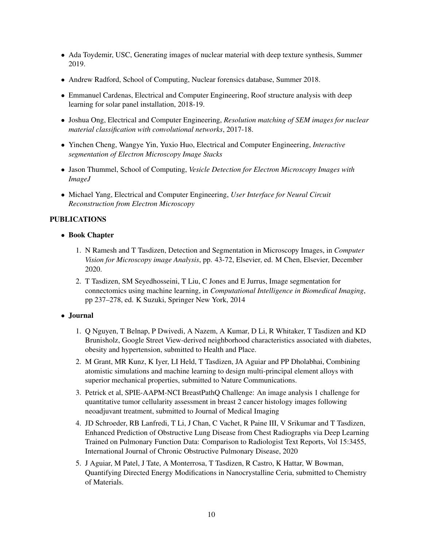- Ada Toydemir, USC, Generating images of nuclear material with deep texture synthesis, Summer 2019.
- Andrew Radford, School of Computing, Nuclear forensics database, Summer 2018.
- Emmanuel Cardenas, Electrical and Computer Engineering, Roof structure analysis with deep learning for solar panel installation, 2018-19.
- Joshua Ong, Electrical and Computer Engineering, *Resolution matching of SEM images for nuclear material classification with convolutional networks*, 2017-18.
- Yinchen Cheng, Wangye Yin, Yuxio Huo, Electrical and Computer Engineering, *Interactive segmentation of Electron Microscopy Image Stacks*
- Jason Thummel, School of Computing, *Vesicle Detection for Electron Microscopy Images with ImageJ*
- Michael Yang, Electrical and Computer Engineering, *User Interface for Neural Circuit Reconstruction from Electron Microscopy*

### PUBLICATIONS

### • Book Chapter

- 1. N Ramesh and T Tasdizen, Detection and Segmentation in Microscopy Images, in *Computer Vision for Microscopy image Analysis*, pp. 43-72, Elsevier, ed. M Chen, Elsevier, December 2020.
- 2. T Tasdizen, SM Seyedhosseini, T Liu, C Jones and E Jurrus, Image segmentation for connectomics using machine learning, in *Computational Intelligence in Biomedical Imaging*, pp 237–278, ed. K Suzuki, Springer New York, 2014

### • Journal

- 1. Q Nguyen, T Belnap, P Dwivedi, A Nazem, A Kumar, D Li, R Whitaker, T Tasdizen and KD Brunisholz, Google Street View-derived neighborhood characteristics associated with diabetes, obesity and hypertension, submitted to Health and Place.
- 2. M Grant, MR Kunz, K Iyer, LI Held, T Tasdizen, JA Aguiar and PP Dholabhai, Combining atomistic simulations and machine learning to design multi-principal element alloys with superior mechanical properties, submitted to Nature Communications.
- 3. Petrick et al, SPIE-AAPM-NCI BreastPathQ Challenge: An image analysis 1 challenge for quantitative tumor cellularity assessment in breast 2 cancer histology images following neoadjuvant treatment, submitted to Journal of Medical Imaging
- 4. JD Schroeder, RB Lanfredi, T Li, J Chan, C Vachet, R Paine III, V Srikumar and T Tasdizen, Enhanced Prediction of Obstructive Lung Disease from Chest Radiographs via Deep Learning Trained on Pulmonary Function Data: Comparison to Radiologist Text Reports, Vol 15:3455, International Journal of Chronic Obstructive Pulmonary Disease, 2020
- 5. J Aguiar, M Patel, J Tate, A Monterrosa, T Tasdizen, R Castro, K Hattar, W Bowman, Quantifying Directed Energy Modifications in Nanocrystalline Ceria, submitted to Chemistry of Materials.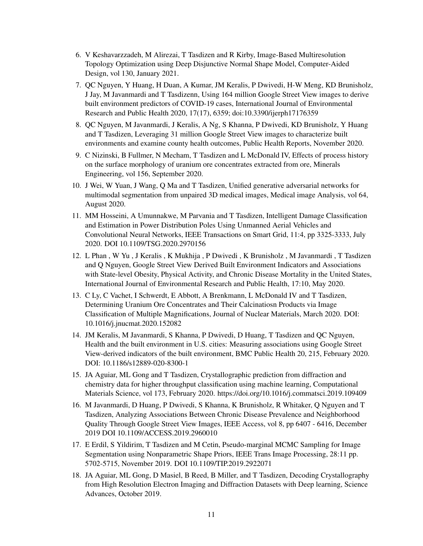- 6. V Keshavarzzadeh, M Alirezai, T Tasdizen and R Kirby, Image-Based Multiresolution Topology Optimization using Deep Disjunctive Normal Shape Model, Computer-Aided Design, vol 130, January 2021.
- 7. QC Nguyen, Y Huang, H Duan, A Kumar, JM Keralis, P Dwivedi, H-W Meng, KD Brunisholz, J Jay, M Javanmardi and T Tasdizenn, Using 164 million Google Street View images to derive built environment predictors of COVID-19 cases, International Journal of Environmental Research and Public Health 2020, 17(17), 6359; doi:10.3390/ijerph17176359
- 8. QC Nguyen, M Javanmardi, J Keralis, A Ng, S Khanna, P Dwivedi, KD Brunisholz, Y Huang and T Tasdizen, Leveraging 31 million Google Street View images to characterize built environments and examine county health outcomes, Public Health Reports, November 2020.
- 9. C Nizinski, B Fullmer, N Mecham, T Tasdizen and L McDonald IV, Effects of process history on the surface morphology of uranium ore concentrates extracted from ore, Minerals Engineering, vol 156, September 2020.
- 10. J Wei, W Yuan, J Wang, Q Ma and T Tasdizen, Unified generative adversarial networks for multimodal segmentation from unpaired 3D medical images, Medical image Analysis, vol 64, August 2020.
- 11. MM Hosseini, A Umunnakwe, M Parvania and T Tasdizen, Intelligent Damage Classification and Estimation in Power Distribution Poles Using Unmanned Aerial Vehicles and Convolutional Neural Networks, IEEE Transactions on Smart Grid, 11:4, pp 3325-3333, July 2020. DOI 10.1109/TSG.2020.2970156
- 12. L Phan , W Yu , J Keralis , K Mukhija , P Dwivedi , K Brunisholz , M Javanmardi , T Tasdizen and Q Nguyen, Google Street View Derived Built Environment Indicators and Associations with State-level Obesity, Physical Activity, and Chronic Disease Mortality in the United States, International Journal of Environmental Research and Public Health, 17:10, May 2020.
- 13. C Ly, C Vachet, I Schwerdt, E Abbott, A Brenkmann, L McDonald IV and T Tasdizen, Determining Uranium Ore Concentrates and Their Calcinatiosn Products via Image Classification of Multiple Magnifications, Journal of Nuclear Materials, March 2020. DOI: 10.1016/j.jnucmat.2020.152082
- 14. JM Keralis, M Javanmardi, S Khanna, P Dwivedi, D Huang, T Tasdizen and QC Nguyen, Health and the built environment in U.S. cities: Measuring associations using Google Street View-derived indicators of the built environment, BMC Public Health 20, 215, February 2020. DOI: 10.1186/s12889-020-8300-1
- 15. JA Aguiar, ML Gong and T Tasdizen, Crystallographic prediction from diffraction and chemistry data for higher throughput classification using machine learning, Computational Materials Science, vol 173, February 2020. https://doi.org/10.1016/j.commatsci.2019.109409
- 16. M Javanmardi, D Huang, P Dwivedi, S Khanna, K Brunisholz, R Whitaker, Q Nguyen and T Tasdizen, Analyzing Associations Between Chronic Disease Prevalence and Neighborhood Quality Through Google Street View Images, IEEE Access, vol 8, pp 6407 - 6416, December 2019 DOI 10.1109/ACCESS.2019.2960010
- 17. E Erdil, S Yildirim, T Tasdizen and M Cetin, Pseudo-marginal MCMC Sampling for Image Segmentation using Nonparametric Shape Priors, IEEE Trans Image Processing, 28:11 pp. 5702-5715, November 2019. DOI 10.1109/TIP.2019.2922071
- 18. JA Aguiar, ML Gong, D Masiel, B Reed, B Miller, and T Tasdizen, Decoding Crystallography from High Resolution Electron Imaging and Diffraction Datasets with Deep learning, Science Advances, October 2019.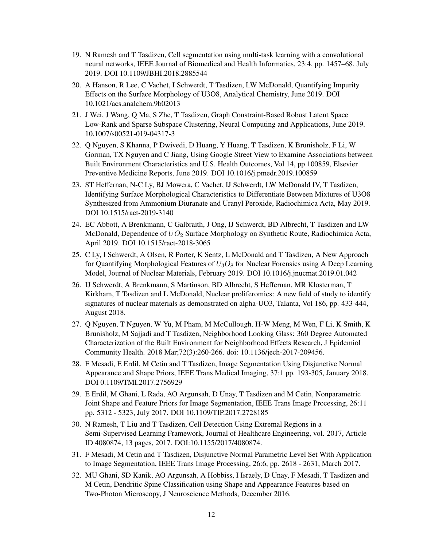- 19. N Ramesh and T Tasdizen, Cell segmentation using multi-task learning with a convolutional neural networks, IEEE Journal of Biomedical and Health Informatics, 23:4, pp. 1457–68, July 2019. DOI 10.1109/JBHI.2018.2885544
- 20. A Hanson, R Lee, C Vachet, I Schwerdt, T Tasdizen, LW McDonald, Quantifying Impurity Effects on the Surface Morphology of U3O8, Analytical Chemistry, June 2019. DOI 10.1021/acs.analchem.9b02013
- 21. J Wei, J Wang, Q Ma, S Zhe, T Tasdizen, Graph Constraint-Based Robust Latent Space Low-Rank and Sparse Subspace Clustering, Neural Computing and Applications, June 2019. 10.1007/s00521-019-04317-3
- 22. Q Nguyen, S Khanna, P Dwivedi, D Huang, Y Huang, T Tasdizen, K Brunisholz, F Li, W Gorman, TX Nguyen and C Jiang, Using Google Street View to Examine Associations between Built Environment Characteristics and U.S. Health Outcomes, Vol 14, pp 100859, Elsevier Preventive Medicine Reports, June 2019. DOI 10.1016/j.pmedr.2019.100859
- 23. ST Heffernan, N-C Ly, BJ Mowera, C Vachet, IJ Schwerdt, LW McDonald IV, T Tasdizen, Identifying Surface Morphological Characteristics to Differentiate Between Mixtures of U3O8 Synthesized from Ammonium Diuranate and Uranyl Peroxide, Radiochimica Acta, May 2019. DOI 10.1515/ract-2019-3140
- 24. EC Abbott, A Brenkmann, C Galbraith, J Ong, IJ Schwerdt, BD Albrecht, T Tasdizen and LW McDonald, Dependence of UO<sup>2</sup> Surface Morphology on Synthetic Route, Radiochimica Acta, April 2019. DOI 10.1515/ract-2018-3065
- 25. C Ly, I Schwerdt, A Olsen, R Porter, K Sentz, L McDonald and T Tasdizen, A New Approach for Quantifying Morphological Features of  $U_3O_8$  for Nuclear Forensics using A Deep Learning Model, Journal of Nuclear Materials, February 2019. DOI 10.1016/j.jnucmat.2019.01.042
- 26. IJ Schwerdt, A Brenkmann, S Martinson, BD Albrecht, S Heffernan, MR Klosterman, T Kirkham, T Tasdizen and L McDonald, Nuclear proliferomics: A new field of study to identify signatures of nuclear materials as demonstrated on alpha-UO3, Talanta, Vol 186, pp. 433-444, August 2018.
- 27. Q Nguyen, T Nguyen, W Yu, M Pham, M McCullough, H-W Meng, M Wen, F Li, K Smith, K Brunisholz, M Sajjadi and T Tasdizen, Neighborhood Looking Glass: 360 Degree Automated Characterization of the Built Environment for Neighborhood Effects Research, J Epidemiol Community Health. 2018 Mar;72(3):260-266. doi: 10.1136/jech-2017-209456.
- 28. F Mesadi, E Erdil, M Cetin and T Tasdizen, Image Segmentation Using Disjunctive Normal Appearance and Shape Priors, IEEE Trans Medical Imaging, 37:1 pp. 193-305, January 2018. DOI 0.1109/TMI.2017.2756929
- 29. E Erdil, M Ghani, L Rada, AO Argunsah, D Unay, T Tasdizen and M Cetin, Nonparametric Joint Shape and Feature Priors for Image Segmentation, IEEE Trans Image Processing, 26:11 pp. 5312 - 5323, July 2017. DOI 10.1109/TIP.2017.2728185
- 30. N Ramesh, T Liu and T Tasdizen, Cell Detection Using Extremal Regions in a Semi-Supervised Learning Framework, Journal of Healthcare Engineering, vol. 2017, Article ID 4080874, 13 pages, 2017. DOI:10.1155/2017/4080874.
- 31. F Mesadi, M Cetin and T Tasdizen, Disjunctive Normal Parametric Level Set With Application to Image Segmentation, IEEE Trans Image Processing, 26:6, pp. 2618 - 2631, March 2017.
- 32. MU Ghani, SD Kanik, AO Argunsah, A Hobbiss, I Israely, D Unay, F Mesadi, T Tasdizen and M Cetin, Dendritic Spine Classification using Shape and Appearance Features based on Two-Photon Microscopy, J Neuroscience Methods, December 2016.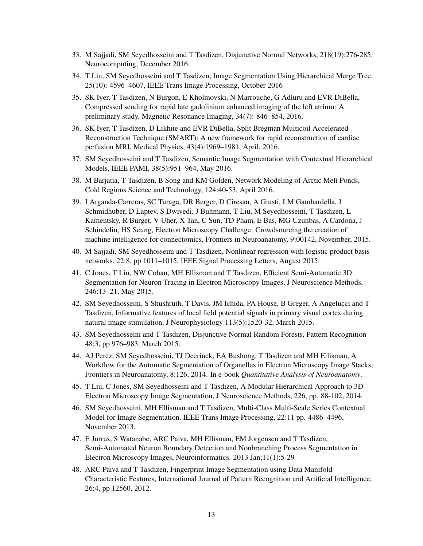- 33. M Sajjadi, SM Seyedhosseini and T Tasdizen, Disjunctive Normal Networks, 218(19):276-285, Neurocomputing, December 2016.
- 34. T Liu, SM Seyedhosseini and T Tasdizen, Image Segmentation Using Hierarchical Merge Tree, 25(10): 4596–4607, IEEE Trans Image Processing, October 2016
- 35. SK Iyer, T Tasdizen, N Burgon, E Kholmovski, N Marrouche, G Adluru and EVR DiBella, Compressed sending for rapid late gadolinium enhanced imaging of the left atrium: A preliminary study, Magnetic Resonance Imaging, 34(7): 846–854, 2016.
- 36. SK Iyer, T Tasdizen, D Likhite and EVR DiBella, Split Bregman Multicoil Accelerated Reconstruction Technique (SMART): A new framework for rapid reconstruction of cardiac perfusion MRI, Medical Physics, 43(4):1969–1981, April, 2016.
- 37. SM Seyedhosseini and T Tasdizen, Semantic Image Segmentation with Contextual Hierarchical Models, IEEE PAMI, 38(5):951–964, May 2016.
- 38. M Barjatia, T Tasdizen, B Song and KM Golden, Network Modeling of Arctic Melt Ponds, Cold Regions Science and Technology, 124:40-53, April 2016.
- 39. I Arganda-Carreras, SC Turaga, DR Berger, D Ciresan, A Giusti, LM Gambardella, J Schmidhuber, D Laptev, S Dwivedi, J Buhmann, T Liu, M Seyedhosseini, T Tasdizen, L Kamentsky, R Burget, V Uher, X Tan, C Sun, TD Pham, E Bas, MG Uzunbas, A Cardona, J Schindelin, HS Seung, Electron Microscopy Challenge: Crowdsourcing the creation of machine intelligence for connectomics, Frontiers in Neuroanatomy, 9:00142, November, 2015.
- 40. M Sajjadi, SM Seyedhosseini and T Tasdizen, Nonlinear regression with logistic product basis networks, 22:8, pp 1011–1015, IEEE Signal Processing Letters, August 2015.
- 41. C Jones, T Liu, NW Cohan, MH Ellisman and T Tasdizen, Efficient Semi-Automatic 3D Segmentation for Neuron Tracing in Electron Microscopy Images, J Neuroscience Methods, 246:13–21, May 2015.
- 42. SM Seyedhosseini, S Shushruth, T Davis, JM Ichida, PA House, B Greger, A Angelucci and T Tasdizen, Informative features of local field potential signals in primary visual cortex during natural image stimulation, J Neurophysiology 113(5):1520-32, March 2015.
- 43. SM Seyedhosseini and T Tasdizen, Disjunctive Normal Random Forests, Pattern Recognition 48:3, pp 976–983, March 2015.
- 44. AJ Perez, SM Seyedhosseini, TJ Deerinck, EA Bushong, T Tasdizen and MH Ellisman, A Workflow for the Automatic Segmentation of Organelles in Electron Microscopy Image Stacks, Frontiers in Neuroanatomy, 8:126, 2014. In e-book *Quantitative Analysis of Neuroanatomy*.
- 45. T Liu, C Jones, SM Seyedhosseini and T Tasdizen, A Modular Hierarchical Approach to 3D Electron Microscopy Image Segmentation, J Neuroscience Methods, 226, pp. 88-102, 2014.
- 46. SM Seyedhosseini, MH Ellisman and T Tasdizen, Multi-Class Multi-Scale Series Contextual Model for Image Segmentation, IEEE Trans Image Processing, 22:11 pp. 4486–4496, November 2013.
- 47. E Jurrus, S Watanabe, ARC Paiva, MH Ellisman, EM Jorgensen and T Tasdizen, Semi-Automated Neuron Boundary Detection and Nonbranching Process Segmentation in Electron Microscopy Images, Neuroinformatics. 2013 Jan;11(1):5-29
- 48. ARC Paiva and T Tasdizen, Fingerprint Image Segmentation using Data Manifold Characteristic Features, International Journal of Pattern Recognition and Artificial Intelligence, 26:4, pp 12560, 2012.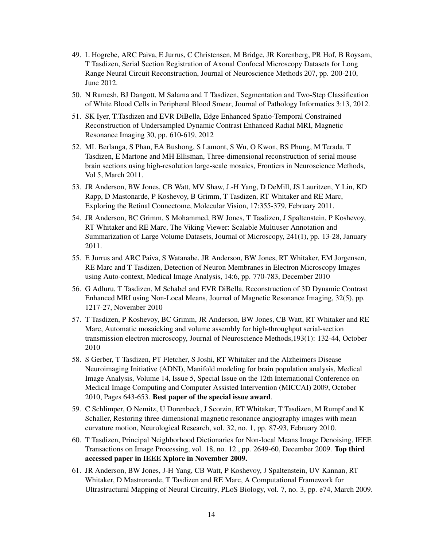- 49. L Hogrebe, ARC Paiva, E Jurrus, C Christensen, M Bridge, JR Korenberg, PR Hof, B Roysam, T Tasdizen, Serial Section Registration of Axonal Confocal Microscopy Datasets for Long Range Neural Circuit Reconstruction, Journal of Neuroscience Methods 207, pp. 200-210, June 2012.
- 50. N Ramesh, BJ Dangott, M Salama and T Tasdizen, Segmentation and Two-Step Classification of White Blood Cells in Peripheral Blood Smear, Journal of Pathology Informatics 3:13, 2012.
- 51. SK Iyer, T.Tasdizen and EVR DiBella, Edge Enhanced Spatio-Temporal Constrained Reconstruction of Undersampled Dynamic Contrast Enhanced Radial MRI, Magnetic Resonance Imaging 30, pp. 610-619, 2012
- 52. ML Berlanga, S Phan, EA Bushong, S Lamont, S Wu, O Kwon, BS Phung, M Terada, T Tasdizen, E Martone and MH Ellisman, Three-dimensional reconstruction of serial mouse brain sections using high-resolution large-scale mosaics, Frontiers in Neuroscience Methods, Vol 5, March 2011.
- 53. JR Anderson, BW Jones, CB Watt, MV Shaw, J.-H Yang, D DeMill, JS Lauritzen, Y Lin, KD Rapp, D Mastonarde, P Koshevoy, B Grimm, T Tasdizen, RT Whitaker and RE Marc, Exploring the Retinal Connectome, Molecular Vision, 17:355-379, February 2011.
- 54. JR Anderson, BC Grimm, S Mohammed, BW Jones, T Tasdizen, J Spaltenstein, P Koshevoy, RT Whitaker and RE Marc, The Viking Viewer: Scalable Multiuser Annotation and Summarization of Large Volume Datasets, Journal of Microscopy, 241(1), pp. 13-28, January 2011.
- 55. E Jurrus and ARC Paiva, S Watanabe, JR Anderson, BW Jones, RT Whitaker, EM Jorgensen, RE Marc and T Tasdizen, Detection of Neuron Membranes in Electron Microscopy Images using Auto-context, Medical Image Analysis, 14:6, pp. 770-783, December 2010
- 56. G Adluru, T Tasdizen, M Schabel and EVR DiBella, Reconstruction of 3D Dynamic Contrast Enhanced MRI using Non-Local Means, Journal of Magnetic Resonance Imaging, 32(5), pp. 1217-27, November 2010
- 57. T Tasdizen, P Koshevoy, BC Grimm, JR Anderson, BW Jones, CB Watt, RT Whitaker and RE Marc, Automatic mosaicking and volume assembly for high-throughput serial-section transmission electron microscopy, Journal of Neuroscience Methods,193(1): 132-44, October 2010
- 58. S Gerber, T Tasdizen, PT Fletcher, S Joshi, RT Whitaker and the Alzheimers Disease Neuroimaging Initiative (ADNI), Manifold modeling for brain population analysis, Medical Image Analysis, Volume 14, Issue 5, Special Issue on the 12th International Conference on Medical Image Computing and Computer Assisted Intervention (MICCAI) 2009, October 2010, Pages 643-653. Best paper of the special issue award.
- 59. C Schlimper, O Nemitz, U Dorenbeck, J Scorzin, RT Whitaker, T Tasdizen, M Rumpf and K Schaller, Restoring three-dimensional magnetic resonance angiography images with mean curvature motion, Neurological Research, vol. 32, no. 1, pp. 87-93, February 2010.
- 60. T Tasdizen, Principal Neighborhood Dictionaries for Non-local Means Image Denoising, IEEE Transactions on Image Processing, vol. 18, no. 12., pp. 2649-60, December 2009. Top third accessed paper in IEEE Xplore in November 2009.
- 61. JR Anderson, BW Jones, J-H Yang, CB Watt, P Koshevoy, J Spaltenstein, UV Kannan, RT Whitaker, D Mastronarde, T Tasdizen and RE Marc, A Computational Framework for Ultrastructural Mapping of Neural Circuitry, PLoS Biology, vol. 7, no. 3, pp. e74, March 2009.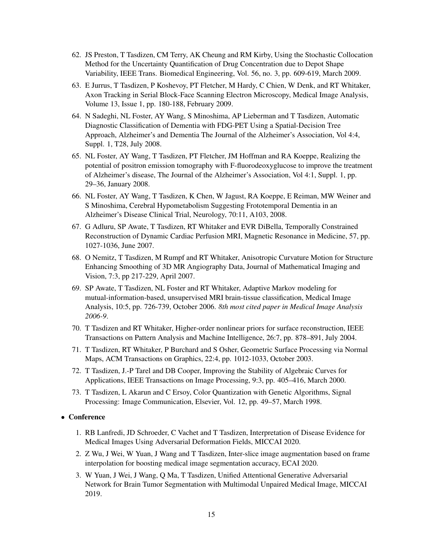- 62. JS Preston, T Tasdizen, CM Terry, AK Cheung and RM Kirby, Using the Stochastic Collocation Method for the Uncertainty Quantification of Drug Concentration due to Depot Shape Variability, IEEE Trans. Biomedical Engineering, Vol. 56, no. 3, pp. 609-619, March 2009.
- 63. E Jurrus, T Tasdizen, P Koshevoy, PT Fletcher, M Hardy, C Chien, W Denk, and RT Whitaker, Axon Tracking in Serial Block-Face Scanning Electron Microscopy, Medical Image Analysis, Volume 13, Issue 1, pp. 180-188, February 2009.
- 64. N Sadeghi, NL Foster, AY Wang, S Minoshima, AP Lieberman and T Tasdizen, Automatic Diagnostic Classification of Dementia with FDG-PET Using a Spatial-Decision Tree Approach, Alzheimer's and Dementia The Journal of the Alzheimer's Association, Vol 4:4, Suppl. 1, T28, July 2008.
- 65. NL Foster, AY Wang, T Tasdizen, PT Fletcher, JM Hoffman and RA Koeppe, Realizing the potential of positron emission tomography with F-fluorodeoxyglucose to improve the treatment of Alzheimer's disease, The Journal of the Alzheimer's Association, Vol 4:1, Suppl. 1, pp. 29–36, January 2008.
- 66. NL Foster, AY Wang, T Tasdizen, K Chen, W Jagust, RA Koeppe, E Reiman, MW Weiner and S Minoshima, Cerebral Hypometabolism Suggesting Frototemporal Dementia in an Alzheimer's Disease Clinical Trial, Neurology, 70:11, A103, 2008.
- 67. G Adluru, SP Awate, T Tasdizen, RT Whitaker and EVR DiBella, Temporally Constrained Reconstruction of Dynamic Cardiac Perfusion MRI, Magnetic Resonance in Medicine, 57, pp. 1027-1036, June 2007.
- 68. O Nemitz, T Tasdizen, M Rumpf and RT Whitaker, Anisotropic Curvature Motion for Structure Enhancing Smoothing of 3D MR Angiography Data, Journal of Mathematical Imaging and Vision, 7:3, pp 217-229, April 2007.
- 69. SP Awate, T Tasdizen, NL Foster and RT Whitaker, Adaptive Markov modeling for mutual-information-based, unsupervised MRI brain-tissue classification, Medical Image Analysis, 10:5, pp. 726-739, October 2006. *8th most cited paper in Medical Image Analysis 2006-9*.
- 70. T Tasdizen and RT Whitaker, Higher-order nonlinear priors for surface reconstruction, IEEE Transactions on Pattern Analysis and Machine Intelligence, 26:7, pp. 878–891, July 2004.
- 71. T Tasdizen, RT Whitaker, P Burchard and S Osher, Geometric Surface Processing via Normal Maps, ACM Transactions on Graphics, 22:4, pp. 1012-1033, October 2003.
- 72. T Tasdizen, J.-P Tarel and DB Cooper, Improving the Stability of Algebraic Curves for Applications, IEEE Transactions on Image Processing, 9:3, pp. 405–416, March 2000.
- 73. T Tasdizen, L Akarun and C Ersoy, Color Quantization with Genetic Algorithms, Signal Processing: Image Communication, Elsevier, Vol. 12, pp. 49–57, March 1998.

#### • Conference

- 1. RB Lanfredi, JD Schroeder, C Vachet and T Tasdizen, Interpretation of Disease Evidence for Medical Images Using Adversarial Deformation Fields, MICCAI 2020.
- 2. Z Wu, J Wei, W Yuan, J Wang and T Tasdizen, Inter-slice image augmentation based on frame interpolation for boosting medical image segmentation accuracy, ECAI 2020.
- 3. W Yuan, J Wei, J Wang, Q Ma, T Tasdizen, Unified Attentional Generative Adversarial Network for Brain Tumor Segmentation with Multimodal Unpaired Medical Image, MICCAI 2019.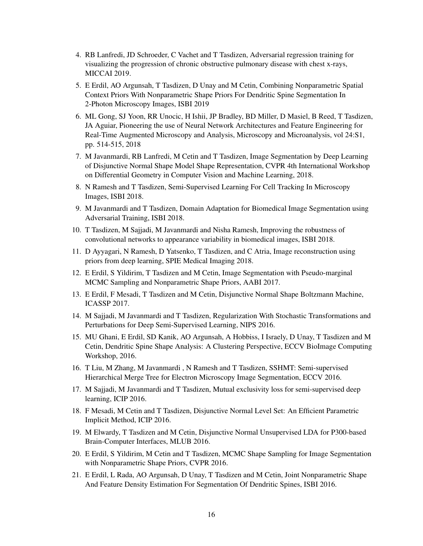- 4. RB Lanfredi, JD Schroeder, C Vachet and T Tasdizen, Adversarial regression training for visualizing the progression of chronic obstructive pulmonary disease with chest x-rays, MICCAI 2019.
- 5. E Erdil, AO Argunsah, T Tasdizen, D Unay and M Cetin, Combining Nonparametric Spatial Context Priors With Nonparametric Shape Priors For Dendritic Spine Segmentation In 2-Photon Microscopy Images, ISBI 2019
- 6. ML Gong, SJ Yoon, RR Unocic, H Ishii, JP Bradley, BD Miller, D Masiel, B Reed, T Tasdizen, JA Aguiar, Pioneering the use of Neural Network Architectures and Feature Engineering for Real-Time Augmented Microscopy and Analysis, Microscopy and Microanalysis, vol 24:S1, pp. 514-515, 2018
- 7. M Javanmardi, RB Lanfredi, M Cetin and T Tasdizen, Image Segmentation by Deep Learning of Disjunctive Normal Shape Model Shape Representation, CVPR 4th International Workshop on Differential Geometry in Computer Vision and Machine Learning, 2018.
- 8. N Ramesh and T Tasdizen, Semi-Supervised Learning For Cell Tracking In Microscopy Images, ISBI 2018.
- 9. M Javanmardi and T Tasdizen, Domain Adaptation for Biomedical Image Segmentation using Adversarial Training, ISBI 2018.
- 10. T Tasdizen, M Sajjadi, M Javanmardi and Nisha Ramesh, Improving the robustness of convolutional networks to appearance variability in biomedical images, ISBI 2018.
- 11. D Ayyagari, N Ramesh, D Yatsenko, T Tasdizen, and C Atria, Image reconstruction using priors from deep learning, SPIE Medical Imaging 2018.
- 12. E Erdil, S Yildirim, T Tasdizen and M Cetin, Image Segmentation with Pseudo-marginal MCMC Sampling and Nonparametric Shape Priors, AABI 2017.
- 13. E Erdil, F Mesadi, T Tasdizen and M Cetin, Disjunctive Normal Shape Boltzmann Machine, ICASSP 2017.
- 14. M Sajjadi, M Javanmardi and T Tasdizen, Regularization With Stochastic Transformations and Perturbations for Deep Semi-Supervised Learning, NIPS 2016.
- 15. MU Ghani, E Erdil, SD Kanik, AO Argunsah, A Hobbiss, I Israely, D Unay, T Tasdizen and M Cetin, Dendritic Spine Shape Analysis: A Clustering Perspective, ECCV BioImage Computing Workshop, 2016.
- 16. T Liu, M Zhang, M Javanmardi , N Ramesh and T Tasdizen, SSHMT: Semi-supervised Hierarchical Merge Tree for Electron Microscopy Image Segmentation, ECCV 2016.
- 17. M Sajjadi, M Javanmardi and T Tasdizen, Mutual exclusivity loss for semi-supervised deep learning, ICIP 2016.
- 18. F Mesadi, M Cetin and T Tasdizen, Disjunctive Normal Level Set: An Efficient Parametric Implicit Method, ICIP 2016.
- 19. M Elwardy, T Tasdizen and M Cetin, Disjunctive Normal Unsupervised LDA for P300-based Brain-Computer Interfaces, MLUB 2016.
- 20. E Erdil, S Yildirim, M Cetin and T Tasdizen, MCMC Shape Sampling for Image Segmentation with Nonparametric Shape Priors, CVPR 2016.
- 21. E Erdil, L Rada, AO Argunsah, D Unay, T Tasdizen and M Cetin, Joint Nonparametric Shape And Feature Density Estimation For Segmentation Of Dendritic Spines, ISBI 2016.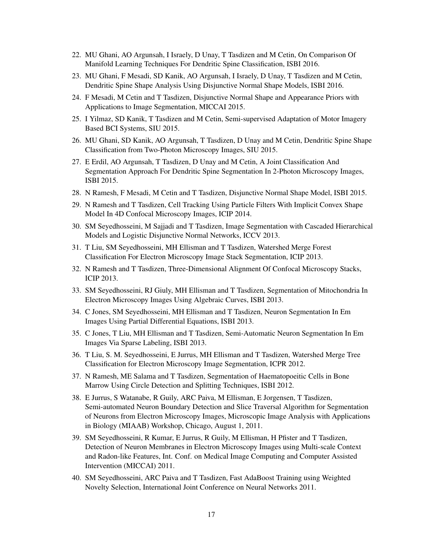- 22. MU Ghani, AO Argunsah, I Israely, D Unay, T Tasdizen and M Cetin, On Comparison Of Manifold Learning Techniques For Dendritic Spine Classification, ISBI 2016.
- 23. MU Ghani, F Mesadi, SD Kanik, AO Argunsah, I Israely, D Unay, T Tasdizen and M Cetin, Dendritic Spine Shape Analysis Using Disjunctive Normal Shape Models, ISBI 2016.
- 24. F Mesadi, M Cetin and T Tasdizen, Disjunctive Normal Shape and Appearance Priors with Applications to Image Segmentation, MICCAI 2015.
- 25. I Yilmaz, SD Kanik, T Tasdizen and M Cetin, Semi-supervised Adaptation of Motor Imagery Based BCI Systems, SIU 2015.
- 26. MU Ghani, SD Kanik, AO Argunsah, T Tasdizen, D Unay and M Cetin, Dendritic Spine Shape Classification from Two-Photon Microscopy Images, SIU 2015.
- 27. E Erdil, AO Argunsah, T Tasdizen, D Unay and M Cetin, A Joint Classification And Segmentation Approach For Dendritic Spine Segmentation In 2-Photon Microscopy Images, ISBI 2015.
- 28. N Ramesh, F Mesadi, M Cetin and T Tasdizen, Disjunctive Normal Shape Model, ISBI 2015.
- 29. N Ramesh and T Tasdizen, Cell Tracking Using Particle Filters With Implicit Convex Shape Model In 4D Confocal Microscopy Images, ICIP 2014.
- 30. SM Seyedhosseini, M Sajjadi and T Tasdizen, Image Segmentation with Cascaded Hierarchical Models and Logistic Disjunctive Normal Networks, ICCV 2013.
- 31. T Liu, SM Seyedhosseini, MH Ellisman and T Tasdizen, Watershed Merge Forest Classification For Electron Microscopy Image Stack Segmentation, ICIP 2013.
- 32. N Ramesh and T Tasdizen, Three-Dimensional Alignment Of Confocal Microscopy Stacks, ICIP 2013.
- 33. SM Seyedhosseini, RJ Giuly, MH Ellisman and T Tasdizen, Segmentation of Mitochondria In Electron Microscopy Images Using Algebraic Curves, ISBI 2013.
- 34. C Jones, SM Seyedhosseini, MH Ellisman and T Tasdizen, Neuron Segmentation In Em Images Using Partial Differential Equations, ISBI 2013.
- 35. C Jones, T Liu, MH Ellisman and T Tasdizen, Semi-Automatic Neuron Segmentation In Em Images Via Sparse Labeling, ISBI 2013.
- 36. T Liu, S. M. Seyedhosseini, E Jurrus, MH Ellisman and T Tasdizen, Watershed Merge Tree Classification for Electron Microscopy Image Segmentation, ICPR 2012.
- 37. N Ramesh, ME Salama and T Tasdizen, Segmentation of Haematopoeitic Cells in Bone Marrow Using Circle Detection and Splitting Techniques, ISBI 2012.
- 38. E Jurrus, S Watanabe, R Guily, ARC Paiva, M Ellisman, E Jorgensen, T Tasdizen, Semi-automated Neuron Boundary Detection and Slice Traversal Algorithm for Segmentation of Neurons from Electron Microscopy Images, Microscopic Image Analysis with Applications in Biology (MIAAB) Workshop, Chicago, August 1, 2011.
- 39. SM Seyedhosseini, R Kumar, E Jurrus, R Guily, M Ellisman, H Pfister and T Tasdizen, Detection of Neuron Membranes in Electron Microscopy Images using Multi-scale Context and Radon-like Features, Int. Conf. on Medical Image Computing and Computer Assisted Intervention (MICCAI) 2011.
- 40. SM Seyedhosseini, ARC Paiva and T Tasdizen, Fast AdaBoost Training using Weighted Novelty Selection, International Joint Conference on Neural Networks 2011.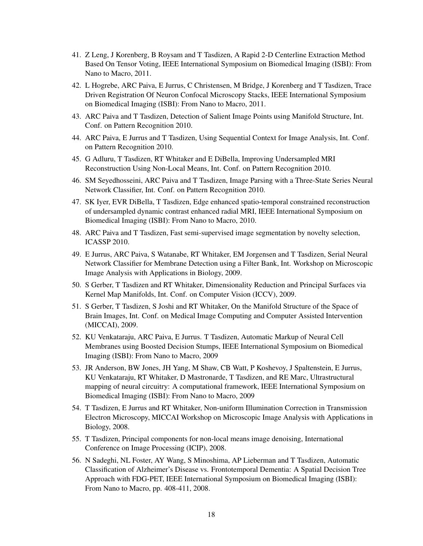- 41. Z Leng, J Korenberg, B Roysam and T Tasdizen, A Rapid 2-D Centerline Extraction Method Based On Tensor Voting, IEEE International Symposium on Biomedical Imaging (ISBI): From Nano to Macro, 2011.
- 42. L Hogrebe, ARC Paiva, E Jurrus, C Christensen, M Bridge, J Korenberg and T Tasdizen, Trace Driven Registration Of Neuron Confocal Microscopy Stacks, IEEE International Symposium on Biomedical Imaging (ISBI): From Nano to Macro, 2011.
- 43. ARC Paiva and T Tasdizen, Detection of Salient Image Points using Manifold Structure, Int. Conf. on Pattern Recognition 2010.
- 44. ARC Paiva, E Jurrus and T Tasdizen, Using Sequential Context for Image Analysis, Int. Conf. on Pattern Recognition 2010.
- 45. G Adluru, T Tasdizen, RT Whitaker and E DiBella, Improving Undersampled MRI Reconstruction Using Non-Local Means, Int. Conf. on Pattern Recognition 2010.
- 46. SM Seyedhosseini, ARC Paiva and T Tasdizen, Image Parsing with a Three-State Series Neural Network Classifier, Int. Conf. on Pattern Recognition 2010.
- 47. SK Iyer, EVR DiBella, T Tasdizen, Edge enhanced spatio-temporal constrained reconstruction of undersampled dynamic contrast enhanced radial MRI, IEEE International Symposium on Biomedical Imaging (ISBI): From Nano to Macro, 2010.
- 48. ARC Paiva and T Tasdizen, Fast semi-supervised image segmentation by novelty selection, ICASSP 2010.
- 49. E Jurrus, ARC Paiva, S Watanabe, RT Whitaker, EM Jorgensen and T Tasdizen, Serial Neural Network Classifier for Membrane Detection using a Filter Bank, Int. Workshop on Microscopic Image Analysis with Applications in Biology, 2009.
- 50. S Gerber, T Tasdizen and RT Whitaker, Dimensionality Reduction and Principal Surfaces via Kernel Map Manifolds, Int. Conf. on Computer Vision (ICCV), 2009.
- 51. S Gerber, T Tasdizen, S Joshi and RT Whitaker, On the Manifold Structure of the Space of Brain Images, Int. Conf. on Medical Image Computing and Computer Assisted Intervention (MICCAI), 2009.
- 52. KU Venkataraju, ARC Paiva, E Jurrus. T Tasdizen, Automatic Markup of Neural Cell Membranes using Boosted Decision Stumps, IEEE International Symposium on Biomedical Imaging (ISBI): From Nano to Macro, 2009
- 53. JR Anderson, BW Jones, JH Yang, M Shaw, CB Watt, P Koshevoy, J Spaltenstein, E Jurrus, KU Venkataraju, RT Whitaker, D Mastronarde, T Tasdizen, and RE Marc, Ultrastructural mapping of neural circuitry: A computational framework, IEEE International Symposium on Biomedical Imaging (ISBI): From Nano to Macro, 2009
- 54. T Tasdizen, E Jurrus and RT Whitaker, Non-uniform Illumination Correction in Transmission Electron Microscopy, MICCAI Workshop on Microscopic Image Analysis with Applications in Biology, 2008.
- 55. T Tasdizen, Principal components for non-local means image denoising, International Conference on Image Processing (ICIP), 2008.
- 56. N Sadeghi, NL Foster, AY Wang, S Minoshima, AP Lieberman and T Tasdizen, Automatic Classification of Alzheimer's Disease vs. Frontotemporal Dementia: A Spatial Decision Tree Approach with FDG-PET, IEEE International Symposium on Biomedical Imaging (ISBI): From Nano to Macro, pp. 408-411, 2008.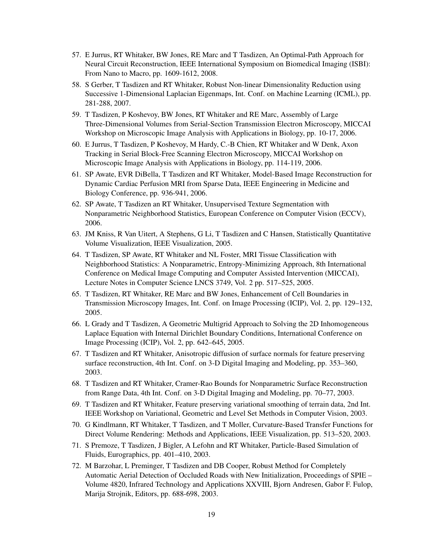- 57. E Jurrus, RT Whitaker, BW Jones, RE Marc and T Tasdizen, An Optimal-Path Approach for Neural Circuit Reconstruction, IEEE International Symposium on Biomedical Imaging (ISBI): From Nano to Macro, pp. 1609-1612, 2008.
- 58. S Gerber, T Tasdizen and RT Whitaker, Robust Non-linear Dimensionality Reduction using Successive 1-Dimensional Laplacian Eigenmaps, Int. Conf. on Machine Learning (ICML), pp. 281-288, 2007.
- 59. T Tasdizen, P Koshevoy, BW Jones, RT Whitaker and RE Marc, Assembly of Large Three-Dimensional Volumes from Serial-Section Transmission Electron Microscopy, MICCAI Workshop on Microscopic Image Analysis with Applications in Biology, pp. 10-17, 2006.
- 60. E Jurrus, T Tasdizen, P Koshevoy, M Hardy, C.-B Chien, RT Whitaker and W Denk, Axon Tracking in Serial Block-Free Scanning Electron Microscopy, MICCAI Workshop on Microscopic Image Analysis with Applications in Biology, pp. 114-119, 2006.
- 61. SP Awate, EVR DiBella, T Tasdizen and RT Whitaker, Model-Based Image Reconstruction for Dynamic Cardiac Perfusion MRI from Sparse Data, IEEE Engineering in Medicine and Biology Conference, pp. 936-941, 2006.
- 62. SP Awate, T Tasdizen an RT Whitaker, Unsupervised Texture Segmentation with Nonparametric Neighborhood Statistics, European Conference on Computer Vision (ECCV), 2006.
- 63. JM Kniss, R Van Uitert, A Stephens, G Li, T Tasdizen and C Hansen, Statistically Quantitative Volume Visualization, IEEE Visualization, 2005.
- 64. T Tasdizen, SP Awate, RT Whitaker and NL Foster, MRI Tissue Classification with Neighborhood Statistics: A Nonparametric, Entropy-Minimizing Approach, 8th International Conference on Medical Image Computing and Computer Assisted Intervention (MICCAI), Lecture Notes in Computer Science LNCS 3749, Vol. 2 pp. 517–525, 2005.
- 65. T Tasdizen, RT Whitaker, RE Marc and BW Jones, Enhancement of Cell Boundaries in Transmission Microscopy Images, Int. Conf. on Image Processing (ICIP), Vol. 2, pp. 129–132, 2005.
- 66. L Grady and T Tasdizen, A Geometric Multigrid Approach to Solving the 2D Inhomogeneous Laplace Equation with Internal Dirichlet Boundary Conditions, International Conference on Image Processing (ICIP), Vol. 2, pp. 642–645, 2005.
- 67. T Tasdizen and RT Whitaker, Anisotropic diffusion of surface normals for feature preserving surface reconstruction, 4th Int. Conf. on 3-D Digital Imaging and Modeling, pp. 353–360, 2003.
- 68. T Tasdizen and RT Whitaker, Cramer-Rao Bounds for Nonparametric Surface Reconstruction from Range Data, 4th Int. Conf. on 3-D Digital Imaging and Modeling, pp. 70–77, 2003.
- 69. T Tasdizen and RT Whitaker, Feature preserving variational smoothing of terrain data, 2nd Int. IEEE Workshop on Variational, Geometric and Level Set Methods in Computer Vision, 2003.
- 70. G Kindlmann, RT Whitaker, T Tasdizen, and T Moller, Curvature-Based Transfer Functions for Direct Volume Rendering: Methods and Applications, IEEE Visualization, pp. 513–520, 2003.
- 71. S Premoze, T Tasdizen, J Bigler, A Lefohn and RT Whitaker, Particle-Based Simulation of Fluids, Eurographics, pp. 401–410, 2003.
- 72. M Barzohar, L Preminger, T Tasdizen and DB Cooper, Robust Method for Completely Automatic Aerial Detection of Occluded Roads with New Initialization, Proceedings of SPIE – Volume 4820, Infrared Technology and Applications XXVIII, Bjorn Andresen, Gabor F. Fulop, Marija Strojnik, Editors, pp. 688-698, 2003.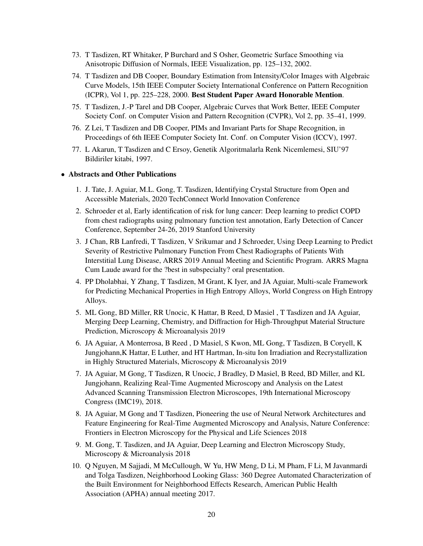- 73. T Tasdizen, RT Whitaker, P Burchard and S Osher, Geometric Surface Smoothing via Anisotropic Diffusion of Normals, IEEE Visualization, pp. 125–132, 2002.
- 74. T Tasdizen and DB Cooper, Boundary Estimation from Intensity/Color Images with Algebraic Curve Models, 15th IEEE Computer Society International Conference on Pattern Recognition (ICPR), Vol 1, pp. 225–228, 2000. Best Student Paper Award Honorable Mention.
- 75. T Tasdizen, J.-P Tarel and DB Cooper, Algebraic Curves that Work Better, IEEE Computer Society Conf. on Computer Vision and Pattern Recognition (CVPR), Vol 2, pp. 35–41, 1999.
- 76. Z Lei, T Tasdizen and DB Cooper, PIMs and Invariant Parts for Shape Recognition, in Proceedings of 6th IEEE Computer Society Int. Conf. on Computer Vision (ICCV), 1997.
- 77. L Akarun, T Tasdizen and C Ersoy, Genetik Algoritmalarla Renk Nicemlemesi, SIU'97 Bildiriler kitabi, 1997.

#### • Abstracts and Other Publications

- 1. J. Tate, J. Aguiar, M.L. Gong, T. Tasdizen, Identifying Crystal Structure from Open and Accessible Materials, 2020 TechConnect World Innovation Conference
- 2. Schroeder et al, Early identification of risk for lung cancer: Deep learning to predict COPD from chest radiographs using pulmonary function test annotation, Early Detection of Cancer Conference, September 24-26, 2019 Stanford University
- 3. J Chan, RB Lanfredi, T Tasdizen, V Srikumar and J Schroeder, Using Deep Learning to Predict Severity of Restrictive Pulmonary Function From Chest Radiographs of Patients With Interstitial Lung Disease, ARRS 2019 Annual Meeting and Scientific Program. ARRS Magna Cum Laude award for the ?best in subspecialty? oral presentation.
- 4. PP Dholabhai, Y Zhang, T Tasdizen, M Grant, K Iyer, and JA Aguiar, Multi-scale Framework for Predicting Mechanical Properties in High Entropy Alloys, World Congress on High Entropy Alloys.
- 5. ML Gong, BD Miller, RR Unocic, K Hattar, B Reed, D Masiel , T Tasdizen and JA Aguiar, Merging Deep Learning, Chemistry, and Diffraction for High-Throughput Material Structure Prediction, Microscopy & Microanalysis 2019
- 6. JA Aguiar, A Monterrosa, B Reed , D Masiel, S Kwon, ML Gong, T Tasdizen, B Coryell, K Jungjohann,K Hattar, E Luther, and HT Hartman, In-situ Ion Irradiation and Recrystallization in Highly Structured Materials, Microscopy & Microanalysis 2019
- 7. JA Aguiar, M Gong, T Tasdizen, R Unocic, J Bradley, D Masiel, B Reed, BD Miller, and KL Jungjohann, Realizing Real-Time Augmented Microscopy and Analysis on the Latest Advanced Scanning Transmission Electron Microscopes, 19th International Microscopy Congress (IMC19), 2018.
- 8. JA Aguiar, M Gong and T Tasdizen, Pioneering the use of Neural Network Architectures and Feature Engineering for Real-Time Augmented Microscopy and Analysis, Nature Conference: Frontiers in Electron Microscopy for the Physical and Life Sciences 2018
- 9. M. Gong, T. Tasdizen, and JA Aguiar, Deep Learning and Electron Microscopy Study, Microscopy & Microanalysis 2018
- 10. Q Nguyen, M Sajjadi, M McCullough, W Yu, HW Meng, D Li, M Pham, F Li, M Javanmardi and Tolga Tasdizen, Neighborhood Looking Glass: 360 Degree Automated Characterization of the Built Environment for Neighborhood Effects Research, American Public Health Association (APHA) annual meeting 2017.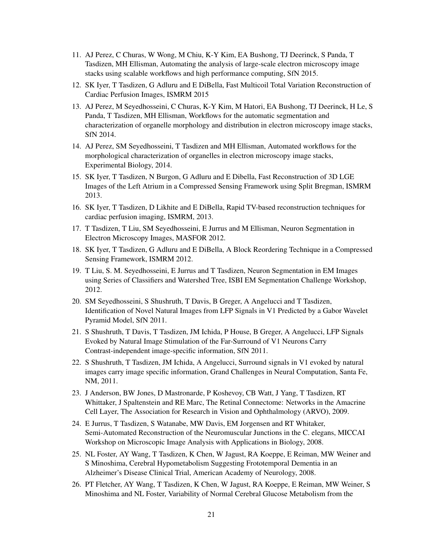- 11. AJ Perez, C Churas, W Wong, M Chiu, K-Y Kim, EA Bushong, TJ Deerinck, S Panda, T Tasdizen, MH Ellisman, Automating the analysis of large-scale electron microscopy image stacks using scalable workflows and high performance computing, SfN 2015.
- 12. SK Iyer, T Tasdizen, G Adluru and E DiBella, Fast Multicoil Total Variation Reconstruction of Cardiac Perfusion Images, ISMRM 2015
- 13. AJ Perez, M Seyedhosseini, C Churas, K-Y Kim, M Hatori, EA Bushong, TJ Deerinck, H Le, S Panda, T Tasdizen, MH Ellisman, Workflows for the automatic segmentation and characterization of organelle morphology and distribution in electron microscopy image stacks, SfN 2014.
- 14. AJ Perez, SM Seyedhosseini, T Tasdizen and MH Ellisman, Automated workflows for the morphological characterization of organelles in electron microscopy image stacks, Experimental Biology, 2014.
- 15. SK Iyer, T Tasdizen, N Burgon, G Adluru and E Dibella, Fast Reconstruction of 3D LGE Images of the Left Atrium in a Compressed Sensing Framework using Split Bregman, ISMRM 2013.
- 16. SK Iyer, T Tasdizen, D Likhite and E DiBella, Rapid TV-based reconstruction techniques for cardiac perfusion imaging, ISMRM, 2013.
- 17. T Tasdizen, T Liu, SM Seyedhosseini, E Jurrus and M Ellisman, Neuron Segmentation in Electron Microscopy Images, MASFOR 2012.
- 18. SK Iyer, T Tasdizen, G Adluru and E DiBella, A Block Reordering Technique in a Compressed Sensing Framework, ISMRM 2012.
- 19. T Liu, S. M. Seyedhosseini, E Jurrus and T Tasdizen, Neuron Segmentation in EM Images using Series of Classifiers and Watershed Tree, ISBI EM Segmentation Challenge Workshop, 2012.
- 20. SM Seyedhosseini, S Shushruth, T Davis, B Greger, A Angelucci and T Tasdizen, Identification of Novel Natural Images from LFP Signals in V1 Predicted by a Gabor Wavelet Pyramid Model, SfN 2011.
- 21. S Shushruth, T Davis, T Tasdizen, JM Ichida, P House, B Greger, A Angelucci, LFP Signals Evoked by Natural Image Stimulation of the Far-Surround of V1 Neurons Carry Contrast-independent image-specific information, SfN 2011.
- 22. S Shushruth, T Tasdizen, JM Ichida, A Angelucci, Surround signals in V1 evoked by natural images carry image specific information, Grand Challenges in Neural Computation, Santa Fe, NM, 2011.
- 23. J Anderson, BW Jones, D Mastronarde, P Koshevoy, CB Watt, J Yang, T Tasdizen, RT Whittaker, J Spaltenstein and RE Marc, The Retinal Connectome: Networks in the Amacrine Cell Layer, The Association for Research in Vision and Ophthalmology (ARVO), 2009.
- 24. E Jurrus, T Tasdizen, S Watanabe, MW Davis, EM Jorgensen and RT Whitaker, Semi-Automated Reconstruction of the Neuromuscular Junctions in the C. elegans, MICCAI Workshop on Microscopic Image Analysis with Applications in Biology, 2008.
- 25. NL Foster, AY Wang, T Tasdizen, K Chen, W Jagust, RA Koeppe, E Reiman, MW Weiner and S Minoshima, Cerebral Hypometabolism Suggesting Frototemporal Dementia in an Alzheimer's Disease Clinical Trial, American Academy of Neurology, 2008.
- 26. PT Fletcher, AY Wang, T Tasdizen, K Chen, W Jagust, RA Koeppe, E Reiman, MW Weiner, S Minoshima and NL Foster, Variability of Normal Cerebral Glucose Metabolism from the